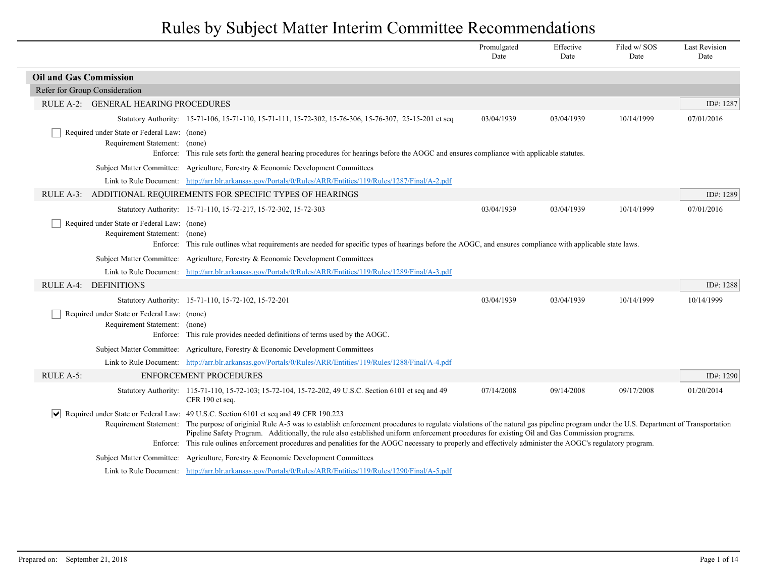|                                                                              |                                                                                                                                                                                                                                                                                                                                                                                                                                                                                                                                                                                             | Promulgated<br>Date | Effective<br>Date | Filed w/SOS<br>Date | <b>Last Revision</b><br>Date |
|------------------------------------------------------------------------------|---------------------------------------------------------------------------------------------------------------------------------------------------------------------------------------------------------------------------------------------------------------------------------------------------------------------------------------------------------------------------------------------------------------------------------------------------------------------------------------------------------------------------------------------------------------------------------------------|---------------------|-------------------|---------------------|------------------------------|
| <b>Oil and Gas Commission</b>                                                |                                                                                                                                                                                                                                                                                                                                                                                                                                                                                                                                                                                             |                     |                   |                     |                              |
| Refer for Group Consideration                                                |                                                                                                                                                                                                                                                                                                                                                                                                                                                                                                                                                                                             |                     |                   |                     |                              |
| RULE A-2: GENERAL HEARING PROCEDURES                                         |                                                                                                                                                                                                                                                                                                                                                                                                                                                                                                                                                                                             |                     |                   |                     | ID#: 1287                    |
|                                                                              | Statutory Authority: 15-71-106, 15-71-110, 15-71-111, 15-72-302, 15-76-306, 15-76-307, 25-15-201 et seq                                                                                                                                                                                                                                                                                                                                                                                                                                                                                     | 03/04/1939          | 03/04/1939        | 10/14/1999          | 07/01/2016                   |
| Required under State or Federal Law: (none)<br>Requirement Statement: (none) | Enforce: This rule sets forth the general hearing procedures for hearings before the AOGC and ensures compliance with applicable statutes.                                                                                                                                                                                                                                                                                                                                                                                                                                                  |                     |                   |                     |                              |
|                                                                              | Subject Matter Committee: Agriculture, Forestry & Economic Development Committees                                                                                                                                                                                                                                                                                                                                                                                                                                                                                                           |                     |                   |                     |                              |
|                                                                              | Link to Rule Document: http://arr.blr.arkansas.gov/Portals/0/Rules/ARR/Entities/119/Rules/1287/Final/A-2.pdf                                                                                                                                                                                                                                                                                                                                                                                                                                                                                |                     |                   |                     |                              |
|                                                                              | RULE A-3: ADDITIONAL REQUIREMENTS FOR SPECIFIC TYPES OF HEARINGS                                                                                                                                                                                                                                                                                                                                                                                                                                                                                                                            |                     |                   |                     | ID#: 1289                    |
|                                                                              | Statutory Authority: 15-71-110, 15-72-217, 15-72-302, 15-72-303                                                                                                                                                                                                                                                                                                                                                                                                                                                                                                                             | 03/04/1939          | 03/04/1939        | 10/14/1999          | 07/01/2016                   |
| Required under State or Federal Law: (none)<br>Requirement Statement: (none) | Enforce: This rule outlines what requirements are needed for specific types of hearings before the AOGC, and ensures compliance with applicable state laws.                                                                                                                                                                                                                                                                                                                                                                                                                                 |                     |                   |                     |                              |
| <b>Subject Matter Committee:</b>                                             | Agriculture, Forestry & Economic Development Committees                                                                                                                                                                                                                                                                                                                                                                                                                                                                                                                                     |                     |                   |                     |                              |
|                                                                              | Link to Rule Document: http://arr.blr.arkansas.gov/Portals/0/Rules/ARR/Entities/119/Rules/1289/Final/A-3.pdf                                                                                                                                                                                                                                                                                                                                                                                                                                                                                |                     |                   |                     |                              |
| RULE A-4: DEFINITIONS                                                        |                                                                                                                                                                                                                                                                                                                                                                                                                                                                                                                                                                                             |                     |                   |                     | ID#: 1288                    |
|                                                                              | Statutory Authority: 15-71-110, 15-72-102, 15-72-201                                                                                                                                                                                                                                                                                                                                                                                                                                                                                                                                        | 03/04/1939          | 03/04/1939        | 10/14/1999          | 10/14/1999                   |
| Required under State or Federal Law: (none)<br>Requirement Statement:        | (none)<br>Enforce: This rule provides needed definitions of terms used by the AOGC.                                                                                                                                                                                                                                                                                                                                                                                                                                                                                                         |                     |                   |                     |                              |
|                                                                              | Subject Matter Committee: Agriculture, Forestry & Economic Development Committees                                                                                                                                                                                                                                                                                                                                                                                                                                                                                                           |                     |                   |                     |                              |
|                                                                              | Link to Rule Document: http://arr.blr.arkansas.gov/Portals/0/Rules/ARR/Entities/119/Rules/1288/Final/A-4.pdf                                                                                                                                                                                                                                                                                                                                                                                                                                                                                |                     |                   |                     |                              |
| RULE A-5:                                                                    | <b>ENFORCEMENT PROCEDURES</b>                                                                                                                                                                                                                                                                                                                                                                                                                                                                                                                                                               |                     |                   |                     | ID#: 1290                    |
|                                                                              | Statutory Authority: 115-71-110, 15-72-103; 15-72-104, 15-72-202, 49 U.S.C. Section 6101 et seq and 49<br>CFR 190 et seq.                                                                                                                                                                                                                                                                                                                                                                                                                                                                   | 07/14/2008          | 09/14/2008        | 09/17/2008          | 01/20/2014                   |
| Requirement Statement:                                                       | Required under State or Federal Law: 49 U.S.C. Section 6101 et seq and 49 CFR 190.223<br>The purpose of originial Rule A-5 was to establish enforcement procedures to regulate violations of the natural gas pipeline program under the U.S. Department of Transportation<br>Pipeline Safety Program. Additionally, the rule also established uniform enforcement procedures for existing Oil and Gas Commission programs.<br>Enforce: This rule oulines enforcement procedures and penalities for the AOGC necessary to properly and effectively administer the AOGC's regulatory program. |                     |                   |                     |                              |
|                                                                              | Subject Matter Committee: Agriculture, Forestry & Economic Development Committees                                                                                                                                                                                                                                                                                                                                                                                                                                                                                                           |                     |                   |                     |                              |
|                                                                              | Link to Rule Document: http://arr.blr.arkansas.gov/Portals/0/Rules/ARR/Entities/119/Rules/1290/Final/A-5.pdf                                                                                                                                                                                                                                                                                                                                                                                                                                                                                |                     |                   |                     |                              |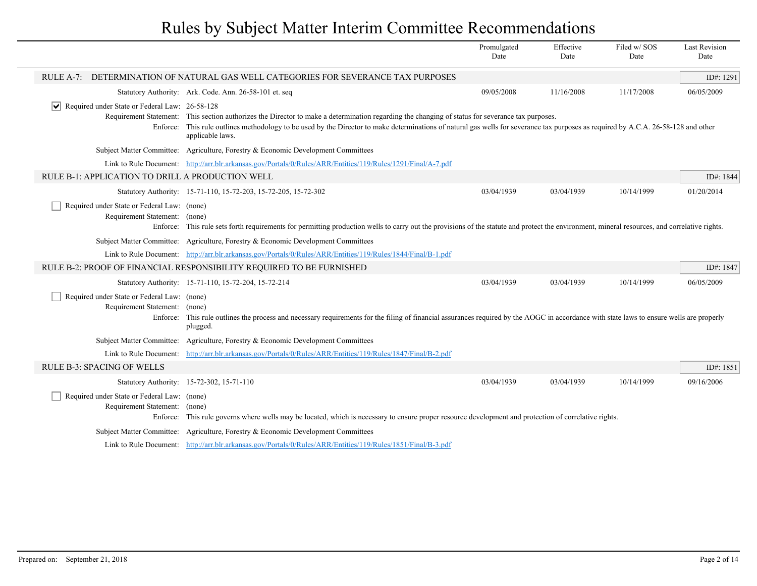|                                                                              |                                                                                                                                                                                                                                                                                                                                                    | Promulgated<br>Date | Effective<br>Date | Filed w/SOS<br>Date | <b>Last Revision</b><br>Date |
|------------------------------------------------------------------------------|----------------------------------------------------------------------------------------------------------------------------------------------------------------------------------------------------------------------------------------------------------------------------------------------------------------------------------------------------|---------------------|-------------------|---------------------|------------------------------|
|                                                                              | RULE A-7: DETERMINATION OF NATURAL GAS WELL CATEGORIES FOR SEVERANCE TAX PURPOSES                                                                                                                                                                                                                                                                  |                     |                   |                     | ID#: 1291                    |
|                                                                              | Statutory Authority: Ark. Code. Ann. 26-58-101 et. seq                                                                                                                                                                                                                                                                                             | 09/05/2008          | 11/16/2008        | 11/17/2008          | 06/05/2009                   |
| $ \mathbf{v} $ Required under State or Federal Law: 26-58-128<br>Enforce:    | Requirement Statement: This section authorizes the Director to make a determination regarding the changing of status for severance tax purposes.<br>This rule outlines methodology to be used by the Director to make determinations of natural gas wells for severance tax purposes as required by A.C.A. 26-58-128 and other<br>applicable laws. |                     |                   |                     |                              |
|                                                                              | Subject Matter Committee: Agriculture, Forestry & Economic Development Committees                                                                                                                                                                                                                                                                  |                     |                   |                     |                              |
|                                                                              | Link to Rule Document: http://arr.blr.arkansas.gov/Portals/0/Rules/ARR/Entities/119/Rules/1291/Final/A-7.pdf                                                                                                                                                                                                                                       |                     |                   |                     |                              |
| RULE B-1: APPLICATION TO DRILL A PRODUCTION WELL                             |                                                                                                                                                                                                                                                                                                                                                    |                     |                   |                     | ID#: 1844                    |
|                                                                              | Statutory Authority: 15-71-110, 15-72-203, 15-72-205, 15-72-302                                                                                                                                                                                                                                                                                    | 03/04/1939          | 03/04/1939        | 10/14/1999          | 01/20/2014                   |
| Required under State or Federal Law: (none)<br>Requirement Statement: (none) | Enforce: This rule sets forth requirements for permitting production wells to carry out the provisions of the statute and protect the environment, mineral resources, and correlative rights.                                                                                                                                                      |                     |                   |                     |                              |
|                                                                              | Subject Matter Committee: Agriculture, Forestry & Economic Development Committees                                                                                                                                                                                                                                                                  |                     |                   |                     |                              |
|                                                                              | Link to Rule Document: http://arr.blr.arkansas.gov/Portals/0/Rules/ARR/Entities/119/Rules/1844/Final/B-1.pdf                                                                                                                                                                                                                                       |                     |                   |                     |                              |
|                                                                              | RULE B-2: PROOF OF FINANCIAL RESPONSIBILITY REQUIRED TO BE FURNISHED                                                                                                                                                                                                                                                                               |                     |                   |                     | ID#: 1847                    |
|                                                                              | Statutory Authority: 15-71-110, 15-72-204, 15-72-214                                                                                                                                                                                                                                                                                               | 03/04/1939          | 03/04/1939        | 10/14/1999          | 06/05/2009                   |
| Required under State or Federal Law: (none)<br>Requirement Statement:        | (none)<br>Enforce: This rule outlines the process and necessary requirements for the filing of financial assurances required by the AOGC in accordance with state laws to ensure wells are properly<br>plugged.                                                                                                                                    |                     |                   |                     |                              |
|                                                                              | Subject Matter Committee: Agriculture, Forestry & Economic Development Committees                                                                                                                                                                                                                                                                  |                     |                   |                     |                              |
|                                                                              | Link to Rule Document: http://arr.blr.arkansas.gov/Portals/0/Rules/ARR/Entities/119/Rules/1847/Final/B-2.pdf                                                                                                                                                                                                                                       |                     |                   |                     |                              |
| <b>RULE B-3: SPACING OF WELLS</b>                                            |                                                                                                                                                                                                                                                                                                                                                    |                     |                   |                     | ID#: 1851                    |
|                                                                              | Statutory Authority: 15-72-302, 15-71-110                                                                                                                                                                                                                                                                                                          | 03/04/1939          | 03/04/1939        | 10/14/1999          | 09/16/2006                   |
| Required under State or Federal Law: (none)<br>Requirement Statement: (none) | Enforce: This rule governs where wells may be located, which is necessary to ensure proper resource development and protection of correlative rights.                                                                                                                                                                                              |                     |                   |                     |                              |
|                                                                              | Subject Matter Committee: Agriculture, Forestry & Economic Development Committees                                                                                                                                                                                                                                                                  |                     |                   |                     |                              |
|                                                                              | Link to Rule Document: http://arr.blr.arkansas.gov/Portals/0/Rules/ARR/Entities/119/Rules/1851/Final/B-3.pdf                                                                                                                                                                                                                                       |                     |                   |                     |                              |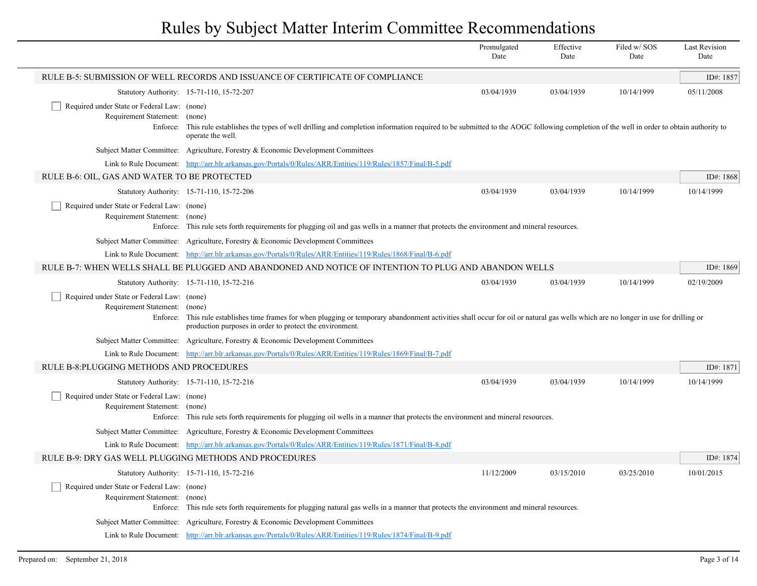|                                                                                   |                                                                                                                                                                                                                                                            | Promulgated<br>Date | Effective<br>Date | Filed w/SOS<br>Date | <b>Last Revision</b><br>Date |
|-----------------------------------------------------------------------------------|------------------------------------------------------------------------------------------------------------------------------------------------------------------------------------------------------------------------------------------------------------|---------------------|-------------------|---------------------|------------------------------|
|                                                                                   | RULE B-5: SUBMISSION OF WELL RECORDS AND ISSUANCE OF CERTIFICATE OF COMPLIANCE                                                                                                                                                                             |                     |                   |                     | ID#: 1857                    |
|                                                                                   | Statutory Authority: 15-71-110, 15-72-207                                                                                                                                                                                                                  | 03/04/1939          | 03/04/1939        | 10/14/1999          | 05/11/2008                   |
| Required under State or Federal Law: (none)<br>Requirement Statement:<br>Enforce: | (none)<br>This rule establishes the types of well drilling and completion information required to be submitted to the AOGC following completion of the well in order to obtain authority to<br>operate the well.                                           |                     |                   |                     |                              |
|                                                                                   | Subject Matter Committee: Agriculture, Forestry & Economic Development Committees                                                                                                                                                                          |                     |                   |                     |                              |
|                                                                                   | Link to Rule Document: http://arr.blr.arkansas.gov/Portals/0/Rules/ARR/Entities/119/Rules/1857/Final/B-5.pdf                                                                                                                                               |                     |                   |                     |                              |
| RULE B-6: OIL, GAS AND WATER TO BE PROTECTED                                      |                                                                                                                                                                                                                                                            |                     |                   |                     | ID#: 1868                    |
|                                                                                   | Statutory Authority: 15-71-110, 15-72-206                                                                                                                                                                                                                  | 03/04/1939          | 03/04/1939        | 10/14/1999          | 10/14/1999                   |
| Required under State or Federal Law: (none)<br>Requirement Statement: (none)      | Enforce: This rule sets forth requirements for plugging oil and gas wells in a manner that protects the environment and mineral resources.                                                                                                                 |                     |                   |                     |                              |
|                                                                                   | Subject Matter Committee: Agriculture, Forestry & Economic Development Committees                                                                                                                                                                          |                     |                   |                     |                              |
|                                                                                   | Link to Rule Document: http://arr.blr.arkansas.gov/Portals/0/Rules/ARR/Entities/119/Rules/1868/Final/B-6.pdf                                                                                                                                               |                     |                   |                     |                              |
|                                                                                   | RULE B-7: WHEN WELLS SHALL BE PLUGGED AND ABANDONED AND NOTICE OF INTENTION TO PLUG AND ABANDON WELLS                                                                                                                                                      |                     |                   |                     | ID#: 1869                    |
|                                                                                   | Statutory Authority: 15-71-110, 15-72-216                                                                                                                                                                                                                  | 03/04/1939          | 03/04/1939        | 10/14/1999          | 02/19/2009                   |
| Required under State or Federal Law: (none)<br>Requirement Statement:             | (none)<br>Enforce: This rule establishes time frames for when plugging or temporary abandonment activities shall occur for oil or natural gas wells which are no longer in use for drilling or<br>production purposes in order to protect the environment. |                     |                   |                     |                              |
|                                                                                   | Subject Matter Committee: Agriculture, Forestry & Economic Development Committees                                                                                                                                                                          |                     |                   |                     |                              |
|                                                                                   | Link to Rule Document: http://arr.blr.arkansas.gov/Portals/0/Rules/ARR/Entities/119/Rules/1869/Final/B-7.pdf                                                                                                                                               |                     |                   |                     |                              |
| RULE B-8: PLUGGING METHODS AND PROCEDURES                                         |                                                                                                                                                                                                                                                            |                     |                   |                     | ID#: 1871                    |
|                                                                                   | Statutory Authority: 15-71-110, 15-72-216                                                                                                                                                                                                                  | 03/04/1939          | 03/04/1939        | 10/14/1999          | 10/14/1999                   |
| Required under State or Federal Law: (none)<br>Requirement Statement: (none)      | Enforce: This rule sets forth requirements for plugging oil wells in a manner that protects the environment and mineral resources.                                                                                                                         |                     |                   |                     |                              |
|                                                                                   | Subject Matter Committee: Agriculture, Forestry & Economic Development Committees                                                                                                                                                                          |                     |                   |                     |                              |
|                                                                                   | Link to Rule Document: http://arr.blr.arkansas.gov/Portals/0/Rules/ARR/Entities/119/Rules/1871/Final/B-8.pdf                                                                                                                                               |                     |                   |                     |                              |
| RULE B-9: DRY GAS WELL PLUGGING METHODS AND PROCEDURES                            |                                                                                                                                                                                                                                                            |                     |                   |                     | ID#: 1874                    |
|                                                                                   | Statutory Authority: 15-71-110, 15-72-216                                                                                                                                                                                                                  | 11/12/2009          | 03/15/2010        | 03/25/2010          | 10/01/2015                   |
| Required under State or Federal Law: (none)<br>Requirement Statement:             | (none)<br>Enforce: This rule sets forth requirements for plugging natural gas wells in a manner that protects the environment and mineral resources.                                                                                                       |                     |                   |                     |                              |
|                                                                                   | Subject Matter Committee: Agriculture, Forestry & Economic Development Committees                                                                                                                                                                          |                     |                   |                     |                              |
|                                                                                   | Link to Rule Document: http://arr.blr.arkansas.gov/Portals/0/Rules/ARR/Entities/119/Rules/1874/Final/B-9.pdf                                                                                                                                               |                     |                   |                     |                              |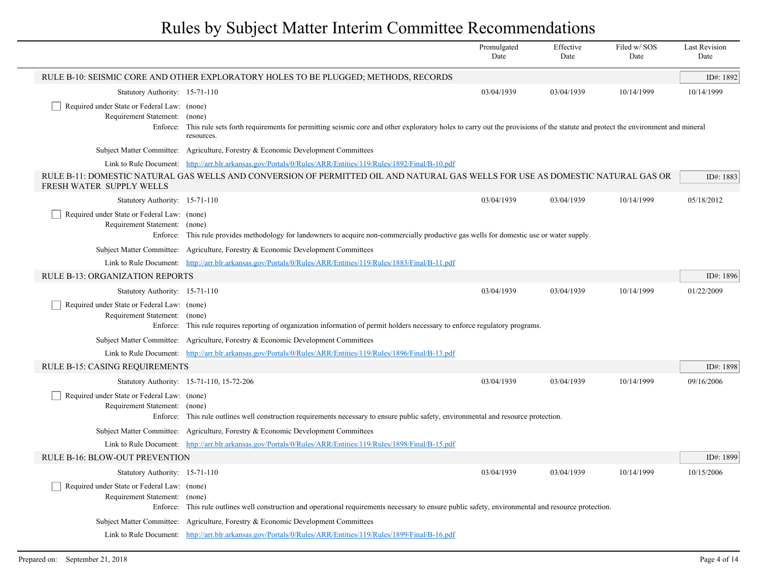|                                                                                          |                                                                                                                                                                                                      | Promulgated<br>Date | Effective<br>Date | Filed w/SOS<br>Date | <b>Last Revision</b><br>Date |
|------------------------------------------------------------------------------------------|------------------------------------------------------------------------------------------------------------------------------------------------------------------------------------------------------|---------------------|-------------------|---------------------|------------------------------|
|                                                                                          | RULE B-10: SEISMIC CORE AND OTHER EXPLORATORY HOLES TO BE PLUGGED; METHODS, RECORDS                                                                                                                  |                     |                   |                     | ID#: 1892                    |
| Statutory Authority: 15-71-110                                                           |                                                                                                                                                                                                      | 03/04/1939          | 03/04/1939        | 10/14/1999          | 10/14/1999                   |
| Required under State or Federal Law: (none)<br>Requirement Statement:<br>Enforce:        | (none)<br>This rule sets forth requirements for permitting seismic core and other exploratory holes to carry out the provisions of the statute and protect the environment and mineral<br>resources. |                     |                   |                     |                              |
|                                                                                          | Subject Matter Committee: Agriculture, Forestry & Economic Development Committees                                                                                                                    |                     |                   |                     |                              |
|                                                                                          | Link to Rule Document: http://arr.blr.arkansas.gov/Portals/0/Rules/ARR/Entities/119/Rules/1892/Final/B-10.pdf                                                                                        |                     |                   |                     |                              |
| FRESH WATER SUPPLY WELLS                                                                 | RULE B-11: DOMESTIC NATURAL GAS WELLS AND CONVERSION OF PERMITTED OIL AND NATURAL GAS WELLS FOR USE AS DOMESTIC NATURAL GAS OR                                                                       |                     |                   |                     | ID#: 1883                    |
| Statutory Authority: 15-71-110                                                           |                                                                                                                                                                                                      | 03/04/1939          | 03/04/1939        | 10/14/1999          | 05/18/2012                   |
| Required under State or Federal Law: (none)<br>Requirement Statement: (none)<br>Enforce: | This rule provides methodology for landowners to acquire non-commercially productive gas wells for domestic use or water supply.                                                                     |                     |                   |                     |                              |
|                                                                                          | Subject Matter Committee: Agriculture, Forestry & Economic Development Committees                                                                                                                    |                     |                   |                     |                              |
|                                                                                          | Link to Rule Document: http://arr.blr.arkansas.gov/Portals/0/Rules/ARR/Entities/119/Rules/1883/Final/B-11.pdf                                                                                        |                     |                   |                     |                              |
| RULE B-13: ORGANIZATION REPORTS                                                          |                                                                                                                                                                                                      |                     |                   |                     | ID#: 1896                    |
| Statutory Authority: 15-71-110                                                           |                                                                                                                                                                                                      | 03/04/1939          | 03/04/1939        | 10/14/1999          | 01/22/2009                   |
| Required under State or Federal Law: (none)<br>Requirement Statement:<br>Enforce:        | (none)<br>This rule requires reporting of organization information of permit holders necessary to enforce regulatory programs.                                                                       |                     |                   |                     |                              |
|                                                                                          | Subject Matter Committee: Agriculture, Forestry & Economic Development Committees                                                                                                                    |                     |                   |                     |                              |
|                                                                                          | Link to Rule Document: http://arr.blr.arkansas.gov/Portals/0/Rules/ARR/Entities/119/Rules/1896/Final/B-13.pdf                                                                                        |                     |                   |                     |                              |
| <b>RULE B-15: CASING REQUIREMENTS</b>                                                    |                                                                                                                                                                                                      |                     |                   |                     | ID#: 1898                    |
|                                                                                          | Statutory Authority: 15-71-110, 15-72-206                                                                                                                                                            | 03/04/1939          | 03/04/1939        | 10/14/1999          | 09/16/2006                   |
| Required under State or Federal Law: (none)<br>Requirement Statement:<br>Enforce:        | (none)<br>This rule outlines well construction requirements necessary to ensure public safety, environmental and resource protection.                                                                |                     |                   |                     |                              |
|                                                                                          | Subject Matter Committee: Agriculture, Forestry & Economic Development Committees                                                                                                                    |                     |                   |                     |                              |
|                                                                                          | Link to Rule Document: http://arr.blr.arkansas.gov/Portals/0/Rules/ARR/Entities/119/Rules/1898/Final/B-15.pdf                                                                                        |                     |                   |                     |                              |
| <b>RULE B-16: BLOW-OUT PREVENTION</b>                                                    |                                                                                                                                                                                                      |                     |                   |                     | ID#: 1899                    |
| Statutory Authority: 15-71-110                                                           |                                                                                                                                                                                                      | 03/04/1939          | 03/04/1939        | 10/14/1999          | 10/15/2006                   |
| Required under State or Federal Law: (none)<br>Requirement Statement:<br>Enforce:        | (none)<br>This rule outlines well construction and operational requirements necessary to ensure public safety, environmental and resource protection.                                                |                     |                   |                     |                              |
|                                                                                          | Subject Matter Committee: Agriculture, Forestry & Economic Development Committees                                                                                                                    |                     |                   |                     |                              |
|                                                                                          | Link to Rule Document: http://arr.blr.arkansas.gov/Portals/0/Rules/ARR/Entities/119/Rules/1899/Final/B-16.pdf                                                                                        |                     |                   |                     |                              |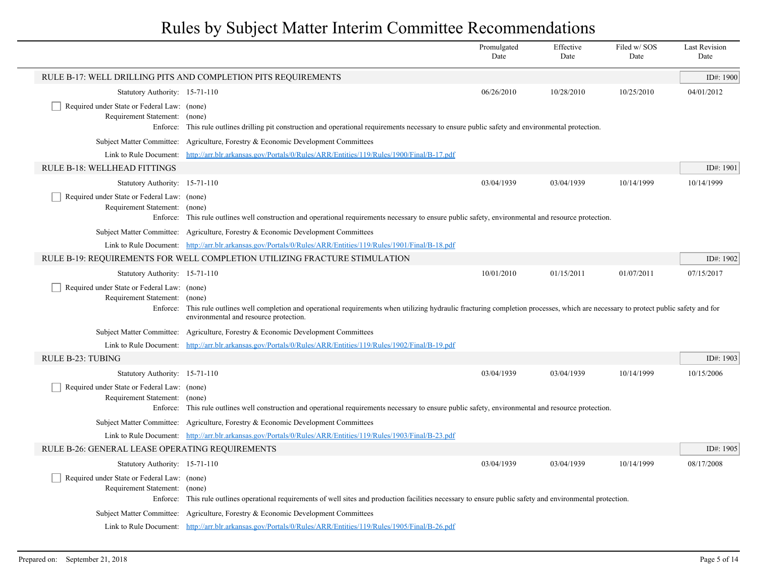|                                                                                   |                                                                                                                                                                                                                                    | Promulgated<br>Date | Effective<br>Date | Filed w/SOS<br>Date | <b>Last Revision</b><br>Date |
|-----------------------------------------------------------------------------------|------------------------------------------------------------------------------------------------------------------------------------------------------------------------------------------------------------------------------------|---------------------|-------------------|---------------------|------------------------------|
|                                                                                   | RULE B-17: WELL DRILLING PITS AND COMPLETION PITS REQUIREMENTS                                                                                                                                                                     |                     |                   |                     | ID#: 1900                    |
| Statutory Authority: 15-71-110                                                    |                                                                                                                                                                                                                                    | 06/26/2010          | 10/28/2010        | 10/25/2010          | 04/01/2012                   |
| Required under State or Federal Law: (none)<br>Requirement Statement:<br>Enforce: | (none)<br>This rule outlines drilling pit construction and operational requirements necessary to ensure public safety and environmental protection.                                                                                |                     |                   |                     |                              |
| Subject Matter Committee:                                                         | Agriculture, Forestry & Economic Development Committees                                                                                                                                                                            |                     |                   |                     |                              |
| Link to Rule Document:                                                            | http://arr.blr.arkansas.gov/Portals/0/Rules/ARR/Entities/119/Rules/1900/Final/B-17.pdf                                                                                                                                             |                     |                   |                     |                              |
| RULE B-18: WELLHEAD FITTINGS                                                      |                                                                                                                                                                                                                                    |                     |                   |                     | ID#: 1901                    |
| Statutory Authority: 15-71-110                                                    |                                                                                                                                                                                                                                    | 03/04/1939          | 03/04/1939        | 10/14/1999          | 10/14/1999                   |
| Required under State or Federal Law: (none)<br>Requirement Statement: (none)      | Enforce: This rule outlines well construction and operational requirements necessary to ensure public safety, environmental and resource protection.                                                                               |                     |                   |                     |                              |
|                                                                                   | Subject Matter Committee: Agriculture, Forestry & Economic Development Committees                                                                                                                                                  |                     |                   |                     |                              |
|                                                                                   | Link to Rule Document: http://arr.blr.arkansas.gov/Portals/0/Rules/ARR/Entities/119/Rules/1901/Final/B-18.pdf                                                                                                                      |                     |                   |                     |                              |
|                                                                                   | RULE B-19: REQUIREMENTS FOR WELL COMPLETION UTILIZING FRACTURE STIMULATION                                                                                                                                                         |                     |                   |                     | ID#: 1902                    |
| Statutory Authority: 15-71-110                                                    |                                                                                                                                                                                                                                    | 10/01/2010          | 01/15/2011        | 01/07/2011          | 07/15/2017                   |
| Required under State or Federal Law: (none)<br>Requirement Statement:<br>Enforce: | (none)<br>This rule outlines well completion and operational requirements when utilizing hydraulic fracturing completion processes, which are necessary to protect public safety and for<br>environmental and resource protection. |                     |                   |                     |                              |
|                                                                                   | Subject Matter Committee: Agriculture, Forestry & Economic Development Committees                                                                                                                                                  |                     |                   |                     |                              |
|                                                                                   | Link to Rule Document: http://arr.blr.arkansas.gov/Portals/0/Rules/ARR/Entities/119/Rules/1902/Final/B-19.pdf                                                                                                                      |                     |                   |                     |                              |
| <b>RULE B-23: TUBING</b>                                                          |                                                                                                                                                                                                                                    |                     |                   |                     | ID#: 1903                    |
| Statutory Authority: 15-71-110                                                    |                                                                                                                                                                                                                                    | 03/04/1939          | 03/04/1939        | 10/14/1999          | 10/15/2006                   |
| Required under State or Federal Law: (none)<br>Requirement Statement: (none)      | Enforce: This rule outlines well construction and operational requirements necessary to ensure public safety, environmental and resource protection.                                                                               |                     |                   |                     |                              |
|                                                                                   | Subject Matter Committee: Agriculture, Forestry & Economic Development Committees                                                                                                                                                  |                     |                   |                     |                              |
|                                                                                   | Link to Rule Document: http://arr.blr.arkansas.gov/Portals/0/Rules/ARR/Entities/119/Rules/1903/Final/B-23.pdf                                                                                                                      |                     |                   |                     |                              |
| RULE B-26: GENERAL LEASE OPERATING REQUIREMENTS                                   |                                                                                                                                                                                                                                    |                     |                   |                     | ID#: 1905                    |
| Statutory Authority: 15-71-110                                                    |                                                                                                                                                                                                                                    | 03/04/1939          | 03/04/1939        | 10/14/1999          | 08/17/2008                   |
| Required under State or Federal Law: (none)<br>Requirement Statement:             | (none)<br>Enforce: This rule outlines operational requirements of well sites and production facilities necessary to ensure public safety and environmental protection.                                                             |                     |                   |                     |                              |
|                                                                                   | Subject Matter Committee: Agriculture, Forestry & Economic Development Committees                                                                                                                                                  |                     |                   |                     |                              |
|                                                                                   | Link to Rule Document: http://arr.blr.arkansas.gov/Portals/0/Rules/ARR/Entities/119/Rules/1905/Final/B-26.pdf                                                                                                                      |                     |                   |                     |                              |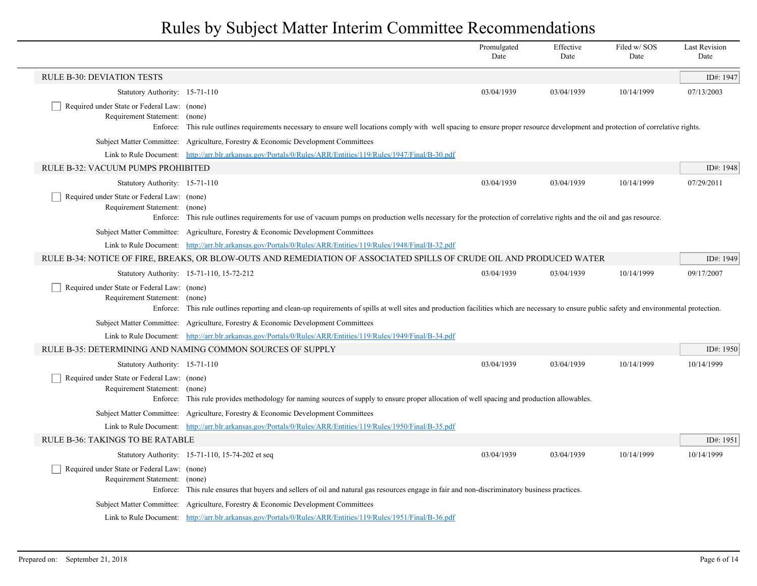|                                                                              |                                                                                                                                                                                             | Promulgated<br>Date | Effective<br>Date | Filed w/SOS<br>Date | <b>Last Revision</b><br>Date |
|------------------------------------------------------------------------------|---------------------------------------------------------------------------------------------------------------------------------------------------------------------------------------------|---------------------|-------------------|---------------------|------------------------------|
| <b>RULE B-30: DEVIATION TESTS</b>                                            |                                                                                                                                                                                             |                     |                   |                     | ID#: 1947                    |
| Statutory Authority: 15-71-110                                               |                                                                                                                                                                                             | 03/04/1939          | 03/04/1939        | 10/14/1999          | 07/13/2003                   |
| Required under State or Federal Law: (none)<br>Requirement Statement: (none) |                                                                                                                                                                                             |                     |                   |                     |                              |
|                                                                              | Enforce: This rule outlines requirements necessary to ensure well locations comply with well spacing to ensure proper resource development and protection of correlative rights.            |                     |                   |                     |                              |
|                                                                              | Subject Matter Committee: Agriculture, Forestry & Economic Development Committees                                                                                                           |                     |                   |                     |                              |
| RULE B-32: VACUUM PUMPS PROHIBITED                                           | Link to Rule Document: http://arr.blr.arkansas.gov/Portals/0/Rules/ARR/Entities/119/Rules/1947/Final/B-30.pdf                                                                               |                     |                   |                     | ID#: 1948                    |
|                                                                              |                                                                                                                                                                                             |                     |                   |                     |                              |
| Statutory Authority: 15-71-110                                               |                                                                                                                                                                                             | 03/04/1939          | 03/04/1939        | 10/14/1999          | 07/29/2011                   |
| Required under State or Federal Law: (none)<br>Requirement Statement: (none) |                                                                                                                                                                                             |                     |                   |                     |                              |
|                                                                              | Enforce: This rule outlines requirements for use of vacuum pumps on production wells necessary for the protection of correlative rights and the oil and gas resource.                       |                     |                   |                     |                              |
|                                                                              | Subject Matter Committee: Agriculture, Forestry & Economic Development Committees                                                                                                           |                     |                   |                     |                              |
|                                                                              | Link to Rule Document: http://arr.blr.arkansas.gov/Portals/0/Rules/ARR/Entities/119/Rules/1948/Final/B-32.pdf                                                                               |                     |                   |                     |                              |
|                                                                              | RULE B-34: NOTICE OF FIRE, BREAKS, OR BLOW-OUTS AND REMEDIATION OF ASSOCIATED SPILLS OF CRUDE OIL AND PRODUCED WATER                                                                        |                     |                   |                     | ID#: 1949                    |
|                                                                              | Statutory Authority: 15-71-110, 15-72-212                                                                                                                                                   | 03/04/1939          | 03/04/1939        | 10/14/1999          | 09/17/2007                   |
| Required under State or Federal Law: (none)<br>Requirement Statement: (none) |                                                                                                                                                                                             |                     |                   |                     |                              |
|                                                                              | Enforce: This rule outlines reporting and clean-up requirements of spills at well sites and production facilities which are necessary to ensure public safety and environmental protection. |                     |                   |                     |                              |
|                                                                              | Subject Matter Committee: Agriculture, Forestry & Economic Development Committees                                                                                                           |                     |                   |                     |                              |
|                                                                              | Link to Rule Document: http://arr.blr.arkansas.gov/Portals/0/Rules/ARR/Entities/119/Rules/1949/Final/B-34.pdf                                                                               |                     |                   |                     |                              |
|                                                                              | RULE B-35: DETERMINING AND NAMING COMMON SOURCES OF SUPPLY                                                                                                                                  |                     |                   |                     | ID#: $1950$                  |
| Statutory Authority: 15-71-110                                               |                                                                                                                                                                                             | 03/04/1939          | 03/04/1939        | 10/14/1999          | 10/14/1999                   |
| Required under State or Federal Law: (none)                                  |                                                                                                                                                                                             |                     |                   |                     |                              |
| Requirement Statement: (none)                                                |                                                                                                                                                                                             |                     |                   |                     |                              |
|                                                                              | Enforce: This rule provides methodology for naming sources of supply to ensure proper allocation of well spacing and production allowables.                                                 |                     |                   |                     |                              |
|                                                                              | Subject Matter Committee: Agriculture, Forestry & Economic Development Committees                                                                                                           |                     |                   |                     |                              |
|                                                                              | Link to Rule Document: http://arr.blr.arkansas.gov/Portals/0/Rules/ARR/Entities/119/Rules/1950/Final/B-35.pdf                                                                               |                     |                   |                     |                              |
| <b>RULE B-36: TAKINGS TO BE RATABLE</b>                                      |                                                                                                                                                                                             |                     |                   |                     | ID#: 1951                    |
|                                                                              | Statutory Authority: 15-71-110, 15-74-202 et seq                                                                                                                                            | 03/04/1939          | 03/04/1939        | 10/14/1999          | 10/14/1999                   |
| Required under State or Federal Law: (none)<br>Requirement Statement: (none) |                                                                                                                                                                                             |                     |                   |                     |                              |
|                                                                              | Enforce: This rule ensures that buyers and sellers of oil and natural gas resources engage in fair and non-discriminatory business practices.                                               |                     |                   |                     |                              |
|                                                                              | Subject Matter Committee: Agriculture, Forestry & Economic Development Committees                                                                                                           |                     |                   |                     |                              |
|                                                                              | Link to Rule Document: http://arr.blr.arkansas.gov/Portals/0/Rules/ARR/Entities/119/Rules/1951/Final/B-36.pdf                                                                               |                     |                   |                     |                              |
|                                                                              |                                                                                                                                                                                             |                     |                   |                     |                              |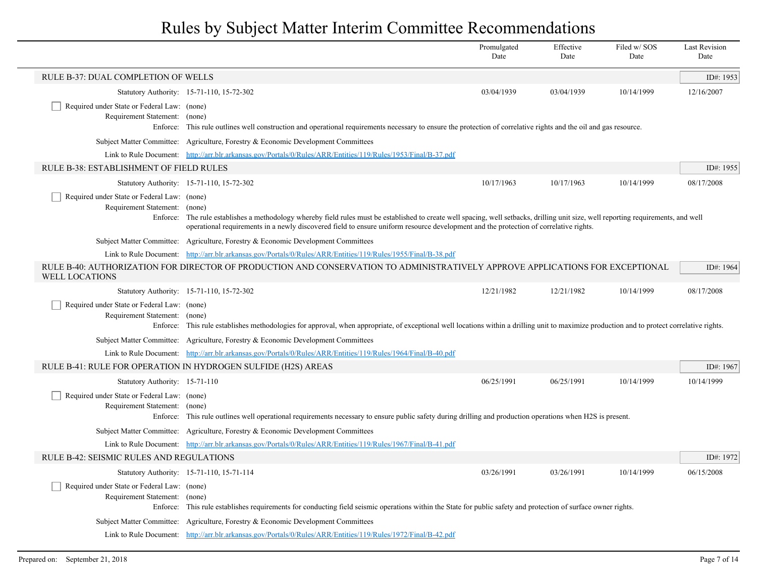|                                                                              |                                                                                                                                                                                                                                                                                                                                         | Promulgated<br>Date | Effective<br>Date | Filed w/SOS<br>Date | <b>Last Revision</b><br>Date |
|------------------------------------------------------------------------------|-----------------------------------------------------------------------------------------------------------------------------------------------------------------------------------------------------------------------------------------------------------------------------------------------------------------------------------------|---------------------|-------------------|---------------------|------------------------------|
| RULE B-37: DUAL COMPLETION OF WELLS                                          |                                                                                                                                                                                                                                                                                                                                         |                     |                   |                     | ID#: 1953                    |
|                                                                              | Statutory Authority: 15-71-110, 15-72-302                                                                                                                                                                                                                                                                                               | 03/04/1939          | 03/04/1939        | 10/14/1999          | 12/16/2007                   |
| Required under State or Federal Law: (none)<br>Requirement Statement: (none) | Enforce: This rule outlines well construction and operational requirements necessary to ensure the protection of correlative rights and the oil and gas resource.                                                                                                                                                                       |                     |                   |                     |                              |
|                                                                              | Subject Matter Committee: Agriculture, Forestry & Economic Development Committees                                                                                                                                                                                                                                                       |                     |                   |                     |                              |
|                                                                              | Link to Rule Document: http://arr.blr.arkansas.gov/Portals/0/Rules/ARR/Entities/119/Rules/1953/Final/B-37.pdf                                                                                                                                                                                                                           |                     |                   |                     |                              |
| RULE B-38: ESTABLISHMENT OF FIELD RULES                                      |                                                                                                                                                                                                                                                                                                                                         |                     |                   |                     | ID#: 1955                    |
|                                                                              | Statutory Authority: 15-71-110, 15-72-302                                                                                                                                                                                                                                                                                               | 10/17/1963          | 10/17/1963        | 10/14/1999          | 08/17/2008                   |
| Required under State or Federal Law: (none)                                  |                                                                                                                                                                                                                                                                                                                                         |                     |                   |                     |                              |
| Requirement Statement:                                                       | (none)<br>Enforce: The rule establishes a methodology whereby field rules must be established to create well spacing, well setbacks, drilling unit size, well reporting requirements, and well<br>operational requirements in a newly discovered field to ensure uniform resource development and the protection of correlative rights. |                     |                   |                     |                              |
|                                                                              | Subject Matter Committee: Agriculture, Forestry & Economic Development Committees                                                                                                                                                                                                                                                       |                     |                   |                     |                              |
|                                                                              | Link to Rule Document: http://arr.blr.arkansas.gov/Portals/0/Rules/ARR/Entities/119/Rules/1955/Final/B-38.pdf                                                                                                                                                                                                                           |                     |                   |                     |                              |
| <b>WELL LOCATIONS</b>                                                        | RULE B-40: AUTHORIZATION FOR DIRECTOR OF PRODUCTION AND CONSERVATION TO ADMINISTRATIVELY APPROVE APPLICATIONS FOR EXCEPTIONAL                                                                                                                                                                                                           |                     |                   |                     | ID#: 1964                    |
|                                                                              | Statutory Authority: 15-71-110, 15-72-302                                                                                                                                                                                                                                                                                               | 12/21/1982          | 12/21/1982        | 10/14/1999          | 08/17/2008                   |
| Required under State or Federal Law: (none)<br>Requirement Statement:        | (none)<br>Enforce: This rule establishes methodologies for approval, when appropriate, of exceptional well locations within a drilling unit to maximize production and to protect correlative rights.                                                                                                                                   |                     |                   |                     |                              |
|                                                                              | Subject Matter Committee: Agriculture, Forestry & Economic Development Committees                                                                                                                                                                                                                                                       |                     |                   |                     |                              |
|                                                                              | Link to Rule Document: http://arr.blr.arkansas.gov/Portals/0/Rules/ARR/Entities/119/Rules/1964/Final/B-40.pdf                                                                                                                                                                                                                           |                     |                   |                     |                              |
|                                                                              | RULE B-41: RULE FOR OPERATION IN HYDROGEN SULFIDE (H2S) AREAS                                                                                                                                                                                                                                                                           |                     |                   |                     | ID#: 1967                    |
| Statutory Authority: 15-71-110                                               |                                                                                                                                                                                                                                                                                                                                         | 06/25/1991          | 06/25/1991        | 10/14/1999          | 10/14/1999                   |
| Required under State or Federal Law: (none)<br>Requirement Statement: (none) | Enforce: This rule outlines well operational requirements necessary to ensure public safety during drilling and production operations when H2S is present.                                                                                                                                                                              |                     |                   |                     |                              |
|                                                                              | Subject Matter Committee: Agriculture, Forestry & Economic Development Committees                                                                                                                                                                                                                                                       |                     |                   |                     |                              |
|                                                                              | Link to Rule Document: http://arr.blr.arkansas.gov/Portals/0/Rules/ARR/Entities/119/Rules/1967/Final/B-41.pdf                                                                                                                                                                                                                           |                     |                   |                     |                              |
| RULE B-42: SEISMIC RULES AND REGULATIONS                                     |                                                                                                                                                                                                                                                                                                                                         |                     |                   |                     | ID#: 1972                    |
|                                                                              | Statutory Authority: 15-71-110, 15-71-114                                                                                                                                                                                                                                                                                               | 03/26/1991          | 03/26/1991        | 10/14/1999          | 06/15/2008                   |
| Required under State or Federal Law: (none)<br>Requirement Statement: (none) | Enforce: This rule establishes requirements for conducting field seismic operations within the State for public safety and protection of surface owner rights.                                                                                                                                                                          |                     |                   |                     |                              |
|                                                                              | Subject Matter Committee: Agriculture, Forestry & Economic Development Committees                                                                                                                                                                                                                                                       |                     |                   |                     |                              |
|                                                                              | Link to Rule Document: http://arr.blr.arkansas.gov/Portals/0/Rules/ARR/Entities/119/Rules/1972/Final/B-42.pdf                                                                                                                                                                                                                           |                     |                   |                     |                              |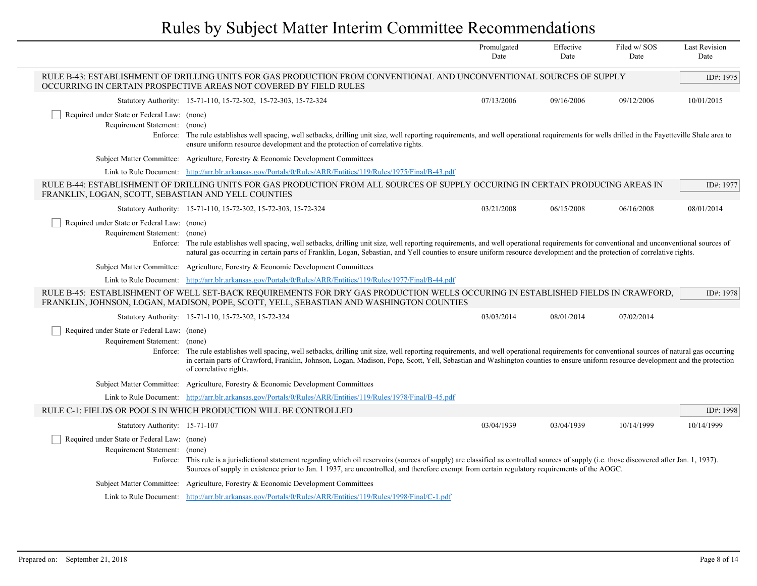|                                                                              |                                                                                                                                                                                                                                                                                                                                                                                                              | Promulgated<br>Date | Effective<br>Date | Filed w/SOS<br>Date | <b>Last Revision</b><br>Date |
|------------------------------------------------------------------------------|--------------------------------------------------------------------------------------------------------------------------------------------------------------------------------------------------------------------------------------------------------------------------------------------------------------------------------------------------------------------------------------------------------------|---------------------|-------------------|---------------------|------------------------------|
|                                                                              | RULE B-43: ESTABLISHMENT OF DRILLING UNITS FOR GAS PRODUCTION FROM CONVENTIONAL AND UNCONVENTIONAL SOURCES OF SUPPLY<br>OCCURRING IN CERTAIN PROSPECTIVE AREAS NOT COVERED BY FIELD RULES                                                                                                                                                                                                                    |                     |                   |                     | ID#: 1975                    |
|                                                                              | Statutory Authority: 15-71-110, 15-72-302, 15-72-303, 15-72-324                                                                                                                                                                                                                                                                                                                                              | 07/13/2006          | 09/16/2006        | 09/12/2006          | 10/01/2015                   |
| Required under State or Federal Law: (none)<br>Requirement Statement: (none) | Enforce: The rule establishes well spacing, well setbacks, drilling unit size, well reporting requirements, and well operational requirements for wells drilled in the Fayetteville Shale area to<br>ensure uniform resource development and the protection of correlative rights.                                                                                                                           |                     |                   |                     |                              |
|                                                                              | Subject Matter Committee: Agriculture, Forestry & Economic Development Committees                                                                                                                                                                                                                                                                                                                            |                     |                   |                     |                              |
|                                                                              | Link to Rule Document: http://arr.blr.arkansas.gov/Portals/0/Rules/ARR/Entities/119/Rules/1975/Final/B-43.pdf                                                                                                                                                                                                                                                                                                |                     |                   |                     |                              |
| FRANKLIN, LOGAN, SCOTT, SEBASTIAN AND YELL COUNTIES                          | RULE B-44: ESTABLISHMENT OF DRILLING UNITS FOR GAS PRODUCTION FROM ALL SOURCES OF SUPPLY OCCURING IN CERTAIN PRODUCING AREAS IN                                                                                                                                                                                                                                                                              |                     |                   |                     | ID#: 1977                    |
|                                                                              | Statutory Authority: 15-71-110, 15-72-302, 15-72-303, 15-72-324                                                                                                                                                                                                                                                                                                                                              | 03/21/2008          | 06/15/2008        | 06/16/2008          | 08/01/2014                   |
| Required under State or Federal Law: (none)<br>Requirement Statement: (none) | Enforce: The rule establishes well spacing, well setbacks, drilling unit size, well reporting requirements, and well operational requirements for conventional and unconventional sources of<br>natural gas occurring in certain parts of Franklin, Logan, Sebastian, and Yell counties to ensure uniform resource development and the protection of correlative rights.                                     |                     |                   |                     |                              |
|                                                                              | Subject Matter Committee: Agriculture, Forestry & Economic Development Committees                                                                                                                                                                                                                                                                                                                            |                     |                   |                     |                              |
|                                                                              | Link to Rule Document: http://arr.blr.arkansas.gov/Portals/0/Rules/ARR/Entities/119/Rules/1977/Final/B-44.pdf                                                                                                                                                                                                                                                                                                |                     |                   |                     |                              |
|                                                                              | RULE B-45: ESTABLISHMENT OF WELL SET-BACK REQUIREMENTS FOR DRY GAS PRODUCTION WELLS OCCURING IN ESTABLISHED FIELDS IN CRAWFORD,<br>FRANKLIN, JOHNSON, LOGAN, MADISON, POPE, SCOTT, YELL, SEBASTIAN AND WASHINGTON COUNTIES                                                                                                                                                                                   |                     |                   |                     | ID#: 1978                    |
|                                                                              | Statutory Authority: 15-71-110, 15-72-302, 15-72-324                                                                                                                                                                                                                                                                                                                                                         | 03/03/2014          | 08/01/2014        | 07/02/2014          |                              |
| Required under State or Federal Law: (none)<br>Requirement Statement: (none) | Enforce: The rule establishes well spacing, well setbacks, drilling unit size, well reporting requirements, and well operational requirements for conventional sources of natural gas occurring<br>in certain parts of Crawford, Franklin, Johnson, Logan, Madison, Pope, Scott, Yell, Sebastian and Washington counties to ensure uniform resource development and the protection<br>of correlative rights. |                     |                   |                     |                              |
|                                                                              | Subject Matter Committee: Agriculture, Forestry & Economic Development Committees                                                                                                                                                                                                                                                                                                                            |                     |                   |                     |                              |
|                                                                              | Link to Rule Document: http://arr.blr.arkansas.gov/Portals/0/Rules/ARR/Entities/119/Rules/1978/Final/B-45.pdf                                                                                                                                                                                                                                                                                                |                     |                   |                     |                              |
|                                                                              | RULE C-1: FIELDS OR POOLS IN WHICH PRODUCTION WILL BE CONTROLLED                                                                                                                                                                                                                                                                                                                                             |                     |                   |                     | ID#: 1998                    |
| Statutory Authority: 15-71-107                                               |                                                                                                                                                                                                                                                                                                                                                                                                              | 03/04/1939          | 03/04/1939        | 10/14/1999          | 10/14/1999                   |
| Required under State or Federal Law: (none)<br>Requirement Statement: (none) | Enforce: This rule is a jurisdictional statement regarding which oil reservoirs (sources of supply) are classified as controlled sources of supply (i.e. those discovered after Jan. 1, 1937).<br>Sources of supply in existence prior to Jan. 1 1937, are uncontrolled, and therefore exempt from certain regulatory requirements of the AOGC.                                                              |                     |                   |                     |                              |
|                                                                              | Subject Matter Committee: Agriculture, Forestry & Economic Development Committees                                                                                                                                                                                                                                                                                                                            |                     |                   |                     |                              |
|                                                                              | Link to Rule Document: http://arr.blr.arkansas.gov/Portals/0/Rules/ARR/Entities/119/Rules/1998/Final/C-1.pdf                                                                                                                                                                                                                                                                                                 |                     |                   |                     |                              |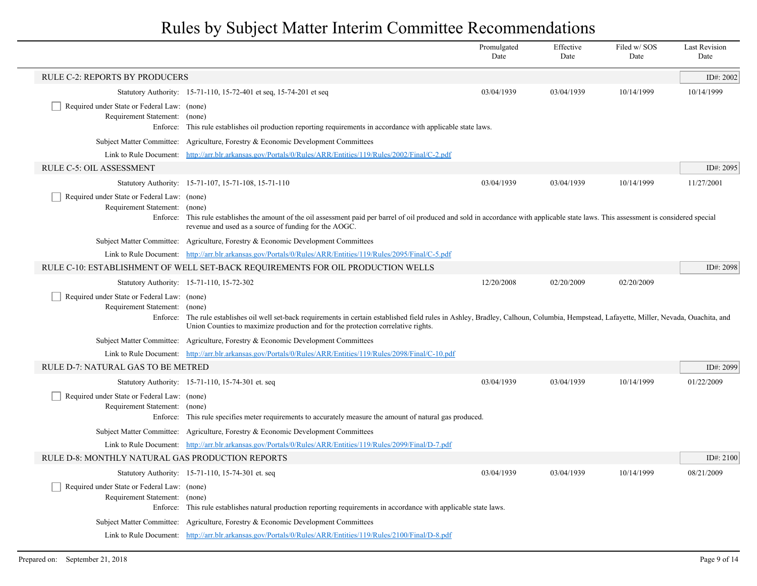|                                                                                          |                                                                                                                                                                                                                                                                                | Promulgated<br>Date | Effective<br>Date | Filed w/SOS<br>Date | <b>Last Revision</b><br>Date |
|------------------------------------------------------------------------------------------|--------------------------------------------------------------------------------------------------------------------------------------------------------------------------------------------------------------------------------------------------------------------------------|---------------------|-------------------|---------------------|------------------------------|
| <b>RULE C-2: REPORTS BY PRODUCERS</b>                                                    |                                                                                                                                                                                                                                                                                |                     |                   |                     | ID#: 2002                    |
|                                                                                          | Statutory Authority: 15-71-110, 15-72-401 et seq, 15-74-201 et seq                                                                                                                                                                                                             | 03/04/1939          | 03/04/1939        | 10/14/1999          | 10/14/1999                   |
| Required under State or Federal Law: (none)<br>Requirement Statement: (none)<br>Enforce: | This rule establishes oil production reporting requirements in accordance with applicable state laws.                                                                                                                                                                          |                     |                   |                     |                              |
|                                                                                          | Subject Matter Committee: Agriculture, Forestry & Economic Development Committees                                                                                                                                                                                              |                     |                   |                     |                              |
|                                                                                          | Link to Rule Document: http://arr.blr.arkansas.gov/Portals/0/Rules/ARR/Entities/119/Rules/2002/Final/C-2.pdf                                                                                                                                                                   |                     |                   |                     |                              |
| <b>RULE C-5: OIL ASSESSMENT</b>                                                          |                                                                                                                                                                                                                                                                                |                     |                   |                     | ID#: 2095                    |
|                                                                                          | Statutory Authority: 15-71-107, 15-71-108, 15-71-110                                                                                                                                                                                                                           | 03/04/1939          | 03/04/1939        | 10/14/1999          | 11/27/2001                   |
| Required under State or Federal Law: (none)<br>Requirement Statement: (none)             | Enforce: This rule establishes the amount of the oil assessment paid per barrel of oil produced and sold in accordance with applicable state laws. This assessment is considered special<br>revenue and used as a source of funding for the AOGC.                              |                     |                   |                     |                              |
|                                                                                          | Subject Matter Committee: Agriculture, Forestry & Economic Development Committees                                                                                                                                                                                              |                     |                   |                     |                              |
|                                                                                          | Link to Rule Document: http://arr.blr.arkansas.gov/Portals/0/Rules/ARR/Entities/119/Rules/2095/Final/C-5.pdf                                                                                                                                                                   |                     |                   |                     |                              |
|                                                                                          | RULE C-10: ESTABLISHMENT OF WELL SET-BACK REQUIREMENTS FOR OIL PRODUCTION WELLS                                                                                                                                                                                                |                     |                   |                     | ID#: 2098                    |
|                                                                                          | Statutory Authority: 15-71-110, 15-72-302                                                                                                                                                                                                                                      | 12/20/2008          | 02/20/2009        | 02/20/2009          |                              |
| Required under State or Federal Law: (none)<br>Requirement Statement: (none)             | Enforce: The rule establishes oil well set-back requirements in certain established field rules in Ashley, Bradley, Calhoun, Columbia, Hempstead, Lafayette, Miller, Nevada, Ouachita, and<br>Union Counties to maximize production and for the protection correlative rights. |                     |                   |                     |                              |
|                                                                                          | Subject Matter Committee: Agriculture, Forestry & Economic Development Committees                                                                                                                                                                                              |                     |                   |                     |                              |
|                                                                                          | Link to Rule Document: http://arr.blr.arkansas.gov/Portals/0/Rules/ARR/Entities/119/Rules/2098/Final/C-10.pdf                                                                                                                                                                  |                     |                   |                     |                              |
| RULE D-7: NATURAL GAS TO BE METRED                                                       |                                                                                                                                                                                                                                                                                |                     |                   |                     | ID#: 2099                    |
|                                                                                          | Statutory Authority: 15-71-110, 15-74-301 et. seq                                                                                                                                                                                                                              | 03/04/1939          | 03/04/1939        | 10/14/1999          | 01/22/2009                   |
| Required under State or Federal Law: (none)<br>Requirement Statement: (none)             | Enforce: This rule specifies meter requirements to accurately measure the amount of natural gas produced.                                                                                                                                                                      |                     |                   |                     |                              |
|                                                                                          | Subject Matter Committee: Agriculture, Forestry & Economic Development Committees                                                                                                                                                                                              |                     |                   |                     |                              |
|                                                                                          | Link to Rule Document: http://arr.blr.arkansas.gov/Portals/0/Rules/ARR/Entities/119/Rules/2099/Final/D-7.pdf                                                                                                                                                                   |                     |                   |                     |                              |
| RULE D-8: MONTHLY NATURAL GAS PRODUCTION REPORTS                                         |                                                                                                                                                                                                                                                                                |                     |                   |                     | ID#: $2100$                  |
|                                                                                          | Statutory Authority: 15-71-110, 15-74-301 et. seq                                                                                                                                                                                                                              | 03/04/1939          | 03/04/1939        | 10/14/1999          | 08/21/2009                   |
| Required under State or Federal Law: (none)<br>Requirement Statement: (none)             | Enforce: This rule establishes natural production reporting requirements in accordance with applicable state laws.                                                                                                                                                             |                     |                   |                     |                              |
|                                                                                          | Subject Matter Committee: Agriculture, Forestry & Economic Development Committees                                                                                                                                                                                              |                     |                   |                     |                              |
|                                                                                          | Link to Rule Document: http://arr.blr.arkansas.gov/Portals/0/Rules/ARR/Entities/119/Rules/2100/Final/D-8.pdf                                                                                                                                                                   |                     |                   |                     |                              |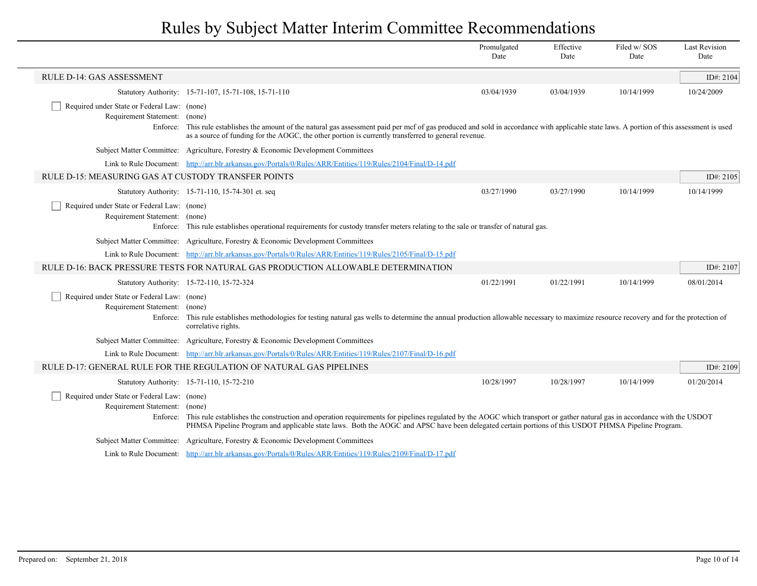|                                                                              |                                                                                                                                                                                                                                                                                                                                                    | Promulgated<br>Date | Effective<br>Date | Filed w/SOS<br>Date | <b>Last Revision</b><br>Date |
|------------------------------------------------------------------------------|----------------------------------------------------------------------------------------------------------------------------------------------------------------------------------------------------------------------------------------------------------------------------------------------------------------------------------------------------|---------------------|-------------------|---------------------|------------------------------|
| <b>RULE D-14: GAS ASSESSMENT</b>                                             |                                                                                                                                                                                                                                                                                                                                                    |                     |                   |                     | ID#: 2104                    |
|                                                                              | Statutory Authority: 15-71-107, 15-71-108, 15-71-110                                                                                                                                                                                                                                                                                               | 03/04/1939          | 03/04/1939        | 10/14/1999          | 10/24/2009                   |
| Required under State or Federal Law: (none)<br>Requirement Statement: (none) | Enforce: This rule establishes the amount of the natural gas assessment paid per mcf of gas produced and sold in accordance with applicable state laws. A portion of this assessment is used<br>as a source of funding for the AOGC, the other portion is currently transferred to general revenue.                                                |                     |                   |                     |                              |
|                                                                              | Subject Matter Committee: Agriculture, Forestry & Economic Development Committees                                                                                                                                                                                                                                                                  |                     |                   |                     |                              |
|                                                                              | Link to Rule Document: http://arr.blr.arkansas.gov/Portals/0/Rules/ARR/Entities/119/Rules/2104/Final/D-14.pdf                                                                                                                                                                                                                                      |                     |                   |                     |                              |
| RULE D-15: MEASURING GAS AT CUSTODY TRANSFER POINTS                          |                                                                                                                                                                                                                                                                                                                                                    |                     |                   |                     | ID#: 2105                    |
|                                                                              | Statutory Authority: 15-71-110, 15-74-301 et. seq                                                                                                                                                                                                                                                                                                  | 03/27/1990          | 03/27/1990        | 10/14/1999          | 10/14/1999                   |
| Required under State or Federal Law: (none)<br>Requirement Statement: (none) | Enforce: This rule establishes operational requirements for custody transfer meters relating to the sale or transfer of natural gas.                                                                                                                                                                                                               |                     |                   |                     |                              |
|                                                                              | Subject Matter Committee: Agriculture, Forestry & Economic Development Committees                                                                                                                                                                                                                                                                  |                     |                   |                     |                              |
|                                                                              | Link to Rule Document: http://arr.blr.arkansas.gov/Portals/0/Rules/ARR/Entities/119/Rules/2105/Final/D-15.pdf                                                                                                                                                                                                                                      |                     |                   |                     |                              |
|                                                                              | RULE D-16: BACK PRESSURE TESTS FOR NATURAL GAS PRODUCTION ALLOWABLE DETERMINATION                                                                                                                                                                                                                                                                  |                     |                   |                     | ID#: 2107                    |
|                                                                              | Statutory Authority: 15-72-110, 15-72-324                                                                                                                                                                                                                                                                                                          | 01/22/1991          | 01/22/1991        | 10/14/1999          | 08/01/2014                   |
| Required under State or Federal Law: (none)<br>Requirement Statement:        | (none)<br>Enforce: This rule establishes methodologies for testing natural gas wells to determine the annual production allowable necessary to maximize resource recovery and for the protection of<br>correlative rights.                                                                                                                         |                     |                   |                     |                              |
|                                                                              | Subject Matter Committee: Agriculture, Forestry & Economic Development Committees                                                                                                                                                                                                                                                                  |                     |                   |                     |                              |
|                                                                              | Link to Rule Document: http://arr.blr.arkansas.gov/Portals/0/Rules/ARR/Entities/119/Rules/2107/Final/D-16.pdf                                                                                                                                                                                                                                      |                     |                   |                     |                              |
|                                                                              | RULE D-17: GENERAL RULE FOR THE REGULATION OF NATURAL GAS PIPELINES                                                                                                                                                                                                                                                                                |                     |                   |                     | ID#: $2109$                  |
|                                                                              | Statutory Authority: 15-71-110, 15-72-210                                                                                                                                                                                                                                                                                                          | 10/28/1997          | 10/28/1997        | 10/14/1999          | 01/20/2014                   |
| Required under State or Federal Law: (none)<br>Requirement Statement:        | (none)<br>Enforce: This rule establishes the construction and operation requirements for pipelines regulated by the AOGC which transport or gather natural gas in accordance with the USDOT<br>PHMSA Pipeline Program and applicable state laws. Both the AOGC and APSC have been delegated certain portions of this USDOT PHMSA Pipeline Program. |                     |                   |                     |                              |
|                                                                              | Subject Matter Committee: Agriculture, Forestry & Economic Development Committees                                                                                                                                                                                                                                                                  |                     |                   |                     |                              |
|                                                                              | Link to Rule Document: http://arr.blr.arkansas.gov/Portals/0/Rules/ARR/Entities/119/Rules/2109/Final/D-17.pdf                                                                                                                                                                                                                                      |                     |                   |                     |                              |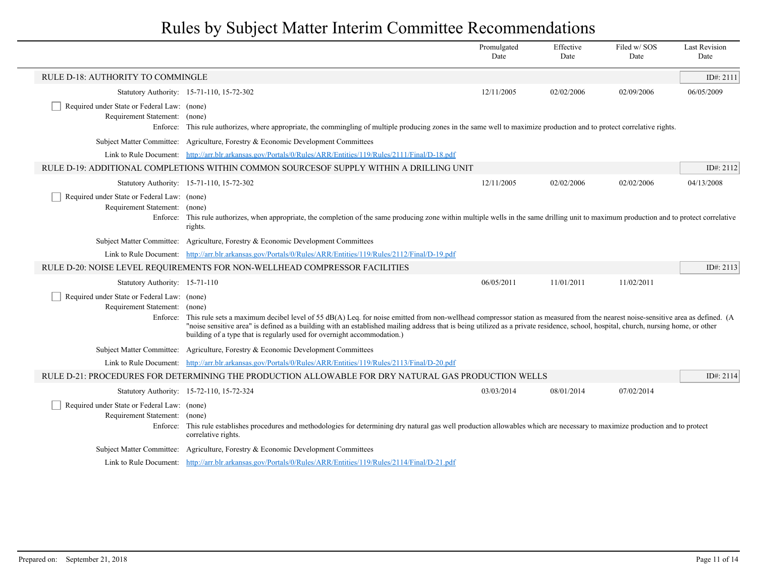|                                                                                          |                                                                                                                                                                                                                                                                                                                                                                                                                                                            | Promulgated<br>Date | Effective<br>Date | Filed w/SOS<br>Date | <b>Last Revision</b><br>Date |
|------------------------------------------------------------------------------------------|------------------------------------------------------------------------------------------------------------------------------------------------------------------------------------------------------------------------------------------------------------------------------------------------------------------------------------------------------------------------------------------------------------------------------------------------------------|---------------------|-------------------|---------------------|------------------------------|
| RULE D-18: AUTHORITY TO COMMINGLE                                                        |                                                                                                                                                                                                                                                                                                                                                                                                                                                            |                     |                   |                     | ID#: 2111                    |
|                                                                                          | Statutory Authority: 15-71-110, 15-72-302                                                                                                                                                                                                                                                                                                                                                                                                                  | 12/11/2005          | 02/02/2006        | 02/09/2006          | 06/05/2009                   |
| Required under State or Federal Law: (none)<br>Requirement Statement: (none)<br>Enforce: | This rule authorizes, where appropriate, the commingling of multiple producing zones in the same well to maximize production and to protect correlative rights.                                                                                                                                                                                                                                                                                            |                     |                   |                     |                              |
|                                                                                          | Subject Matter Committee: Agriculture, Forestry & Economic Development Committees                                                                                                                                                                                                                                                                                                                                                                          |                     |                   |                     |                              |
|                                                                                          | Link to Rule Document: http://arr.blr.arkansas.gov/Portals/0/Rules/ARR/Entities/119/Rules/2111/Final/D-18.pdf                                                                                                                                                                                                                                                                                                                                              |                     |                   |                     |                              |
|                                                                                          | RULE D-19: ADDITIONAL COMPLETIONS WITHIN COMMON SOURCESOF SUPPLY WITHIN A DRILLING UNIT                                                                                                                                                                                                                                                                                                                                                                    |                     |                   |                     | ID#: 2112                    |
|                                                                                          | Statutory Authority: 15-71-110, 15-72-302                                                                                                                                                                                                                                                                                                                                                                                                                  | 12/11/2005          | 02/02/2006        | 02/02/2006          | 04/13/2008                   |
| Required under State or Federal Law: (none)<br>Requirement Statement:<br>Enforce:        | (none)<br>This rule authorizes, when appropriate, the completion of the same producing zone within multiple wells in the same drilling unit to maximum production and to protect correlative<br>rights.                                                                                                                                                                                                                                                    |                     |                   |                     |                              |
|                                                                                          | Subject Matter Committee: Agriculture, Forestry & Economic Development Committees                                                                                                                                                                                                                                                                                                                                                                          |                     |                   |                     |                              |
|                                                                                          | Link to Rule Document: http://arr.blr.arkansas.gov/Portals/0/Rules/ARR/Entities/119/Rules/2112/Final/D-19.pdf                                                                                                                                                                                                                                                                                                                                              |                     |                   |                     |                              |
|                                                                                          | RULE D-20: NOISE LEVEL REQUIREMENTS FOR NON-WELLHEAD COMPRESSOR FACILITIES                                                                                                                                                                                                                                                                                                                                                                                 |                     |                   |                     | ID#: $2113$                  |
| Statutory Authority: 15-71-110                                                           |                                                                                                                                                                                                                                                                                                                                                                                                                                                            | 06/05/2011          | 11/01/2011        | 11/02/2011          |                              |
| Required under State or Federal Law: (none)<br>Requirement Statement: (none)             | Enforce: This rule sets a maximum decibel level of 55 dB(A) Leq. for noise emitted from non-wellhead compressor station as measured from the nearest noise-sensitive area as defined. (A<br>"noise sensitive area" is defined as a building with an established mailing address that is being utilized as a private residence, school, hospital, church, nursing home, or other<br>building of a type that is regularly used for overnight accommodation.) |                     |                   |                     |                              |
|                                                                                          | Subject Matter Committee: Agriculture, Forestry & Economic Development Committees                                                                                                                                                                                                                                                                                                                                                                          |                     |                   |                     |                              |
|                                                                                          | Link to Rule Document: http://arr.blr.arkansas.gov/Portals/0/Rules/ARR/Entities/119/Rules/2113/Final/D-20.pdf                                                                                                                                                                                                                                                                                                                                              |                     |                   |                     |                              |
|                                                                                          | RULE D-21: PROCEDURES FOR DETERMINING THE PRODUCTION ALLOWABLE FOR DRY NATURAL GAS PRODUCTION WELLS                                                                                                                                                                                                                                                                                                                                                        |                     |                   |                     | ID#: 2114                    |
|                                                                                          | Statutory Authority: 15-72-110, 15-72-324                                                                                                                                                                                                                                                                                                                                                                                                                  | 03/03/2014          | 08/01/2014        | 07/02/2014          |                              |
| Required under State or Federal Law: (none)<br>Requirement Statement:                    | (none)<br>Enforce: This rule establishes procedures and methodologies for determining dry natural gas well production allowables which are necessary to maximize production and to protect<br>correlative rights.                                                                                                                                                                                                                                          |                     |                   |                     |                              |
|                                                                                          | Subject Matter Committee: Agriculture, Forestry & Economic Development Committees                                                                                                                                                                                                                                                                                                                                                                          |                     |                   |                     |                              |
|                                                                                          | Link to Rule Document: http://arr.blr.arkansas.gov/Portals/0/Rules/ARR/Entities/119/Rules/2114/Final/D-21.pdf                                                                                                                                                                                                                                                                                                                                              |                     |                   |                     |                              |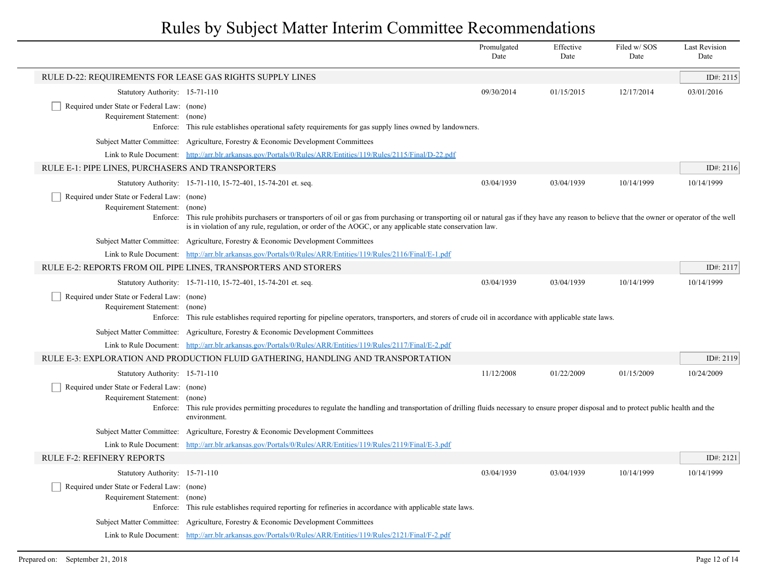|                                                                                          |                                                                                                                                                                                                                                                                                                                          | Promulgated<br>Date | Effective<br>Date | Filed w/ SOS<br>Date | <b>Last Revision</b><br>Date |
|------------------------------------------------------------------------------------------|--------------------------------------------------------------------------------------------------------------------------------------------------------------------------------------------------------------------------------------------------------------------------------------------------------------------------|---------------------|-------------------|----------------------|------------------------------|
| RULE D-22: REQUIREMENTS FOR LEASE GAS RIGHTS SUPPLY LINES                                |                                                                                                                                                                                                                                                                                                                          |                     |                   |                      | ID#: 2115                    |
| Statutory Authority: 15-71-110                                                           |                                                                                                                                                                                                                                                                                                                          | 09/30/2014          | 01/15/2015        | 12/17/2014           | 03/01/2016                   |
| Required under State or Federal Law: (none)<br>Requirement Statement: (none)<br>Enforce: | This rule establishes operational safety requirements for gas supply lines owned by landowners.                                                                                                                                                                                                                          |                     |                   |                      |                              |
|                                                                                          | Subject Matter Committee: Agriculture, Forestry & Economic Development Committees                                                                                                                                                                                                                                        |                     |                   |                      |                              |
|                                                                                          | Link to Rule Document: http://arr.blr.arkansas.gov/Portals/0/Rules/ARR/Entities/119/Rules/2115/Final/D-22.pdf                                                                                                                                                                                                            |                     |                   |                      |                              |
| RULE E-1: PIPE LINES, PURCHASERS AND TRANSPORTERS                                        |                                                                                                                                                                                                                                                                                                                          |                     |                   |                      | ID#: $2116$                  |
|                                                                                          | Statutory Authority: 15-71-110, 15-72-401, 15-74-201 et. seq.                                                                                                                                                                                                                                                            | 03/04/1939          | 03/04/1939        | 10/14/1999           | 10/14/1999                   |
| Required under State or Federal Law: (none)<br>Requirement Statement:                    | (none)<br>Enforce: This rule prohibits purchasers or transporters of oil or gas from purchasing or transporting oil or natural gas if they have any reason to believe that the owner or operator of the well<br>is in violation of any rule, regulation, or order of the AOGC, or any applicable state conservation law. |                     |                   |                      |                              |
|                                                                                          | Subject Matter Committee: Agriculture, Forestry & Economic Development Committees                                                                                                                                                                                                                                        |                     |                   |                      |                              |
|                                                                                          | Link to Rule Document: http://arr.blr.arkansas.gov/Portals/0/Rules/ARR/Entities/119/Rules/2116/Final/E-1.pdf                                                                                                                                                                                                             |                     |                   |                      |                              |
|                                                                                          | RULE E-2: REPORTS FROM OIL PIPE LINES, TRANSPORTERS AND STORERS                                                                                                                                                                                                                                                          |                     |                   |                      | ID#: 2117                    |
|                                                                                          | Statutory Authority: 15-71-110, 15-72-401, 15-74-201 et. seq.                                                                                                                                                                                                                                                            | 03/04/1939          | 03/04/1939        | 10/14/1999           | 10/14/1999                   |
| Required under State or Federal Law: (none)<br>Requirement Statement: (none)             | Enforce: This rule establishes required reporting for pipeline operators, transporters, and storers of crude oil in accordance with applicable state laws.                                                                                                                                                               |                     |                   |                      |                              |
|                                                                                          | Subject Matter Committee: Agriculture, Forestry & Economic Development Committees                                                                                                                                                                                                                                        |                     |                   |                      |                              |
|                                                                                          | Link to Rule Document: http://arr.blr.arkansas.gov/Portals/0/Rules/ARR/Entities/119/Rules/2117/Final/E-2.pdf                                                                                                                                                                                                             |                     |                   |                      |                              |
|                                                                                          | RULE E-3: EXPLORATION AND PRODUCTION FLUID GATHERING, HANDLING AND TRANSPORTATION                                                                                                                                                                                                                                        |                     |                   |                      | ID#: $2119$                  |
| Statutory Authority: 15-71-110                                                           |                                                                                                                                                                                                                                                                                                                          | 11/12/2008          | 01/22/2009        | 01/15/2009           | 10/24/2009                   |
| Required under State or Federal Law: (none)<br>Requirement Statement:                    | (none)<br>Enforce: This rule provides permitting procedures to regulate the handling and transportation of drilling fluids necessary to ensure proper disposal and to protect public health and the<br>environment.                                                                                                      |                     |                   |                      |                              |
|                                                                                          | Subject Matter Committee: Agriculture, Forestry & Economic Development Committees                                                                                                                                                                                                                                        |                     |                   |                      |                              |
|                                                                                          | Link to Rule Document: http://arr.blr.arkansas.gov/Portals/0/Rules/ARR/Entities/119/Rules/2119/Final/E-3.pdf                                                                                                                                                                                                             |                     |                   |                      |                              |
| RULE F-2: REFINERY REPORTS                                                               |                                                                                                                                                                                                                                                                                                                          |                     |                   |                      | ID#: $2121$                  |
| Statutory Authority: 15-71-110                                                           |                                                                                                                                                                                                                                                                                                                          | 03/04/1939          | 03/04/1939        | 10/14/1999           | 10/14/1999                   |
| Required under State or Federal Law: (none)<br>Requirement Statement: (none)             | Enforce: This rule establishes required reporting for refineries in accordance with applicable state laws.                                                                                                                                                                                                               |                     |                   |                      |                              |
|                                                                                          | Subject Matter Committee: Agriculture, Forestry & Economic Development Committees                                                                                                                                                                                                                                        |                     |                   |                      |                              |
|                                                                                          | Link to Rule Document: http://arr.blr.arkansas.gov/Portals/0/Rules/ARR/Entities/119/Rules/2121/Final/F-2.pdf                                                                                                                                                                                                             |                     |                   |                      |                              |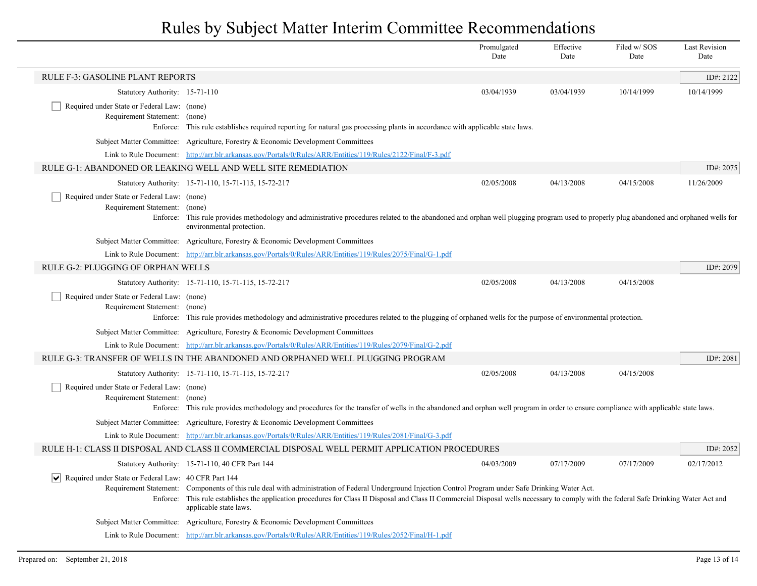|                                                                                                 |                                                                                                                                                                                                                                                                                                                                                                              | Promulgated<br>Date | Effective<br>Date | Filed w/SOS<br>Date | <b>Last Revision</b><br>Date |  |
|-------------------------------------------------------------------------------------------------|------------------------------------------------------------------------------------------------------------------------------------------------------------------------------------------------------------------------------------------------------------------------------------------------------------------------------------------------------------------------------|---------------------|-------------------|---------------------|------------------------------|--|
| <b>RULE F-3: GASOLINE PLANT REPORTS</b>                                                         |                                                                                                                                                                                                                                                                                                                                                                              |                     |                   |                     | ID#: 2122                    |  |
| Statutory Authority: 15-71-110                                                                  |                                                                                                                                                                                                                                                                                                                                                                              | 03/04/1939          | 03/04/1939        | 10/14/1999          | 10/14/1999                   |  |
| Required under State or Federal Law: (none)<br>Requirement Statement: (none)<br>Enforce:        | This rule establishes required reporting for natural gas processing plants in accordance with applicable state laws.                                                                                                                                                                                                                                                         |                     |                   |                     |                              |  |
|                                                                                                 | Subject Matter Committee: Agriculture, Forestry & Economic Development Committees                                                                                                                                                                                                                                                                                            |                     |                   |                     |                              |  |
|                                                                                                 | Link to Rule Document: http://arr.blr.arkansas.gov/Portals/0/Rules/ARR/Entities/119/Rules/2122/Final/F-3.pdf                                                                                                                                                                                                                                                                 |                     |                   |                     |                              |  |
|                                                                                                 | RULE G-1: ABANDONED OR LEAKING WELL AND WELL SITE REMEDIATION                                                                                                                                                                                                                                                                                                                |                     |                   |                     |                              |  |
|                                                                                                 | Statutory Authority: 15-71-110, 15-71-115, 15-72-217                                                                                                                                                                                                                                                                                                                         | 02/05/2008          | 04/13/2008        | 04/15/2008          | 11/26/2009                   |  |
| Required under State or Federal Law: (none)<br>Requirement Statement:                           | (none)<br>Enforce: This rule provides methodology and administrative procedures related to the abandoned and orphan well plugging program used to properly plug abandoned and orphaned wells for<br>environmental protection.                                                                                                                                                |                     |                   |                     |                              |  |
|                                                                                                 | Subject Matter Committee: Agriculture, Forestry & Economic Development Committees                                                                                                                                                                                                                                                                                            |                     |                   |                     |                              |  |
|                                                                                                 | Link to Rule Document: http://arr.blr.arkansas.gov/Portals/0/Rules/ARR/Entities/119/Rules/2075/Final/G-1.pdf                                                                                                                                                                                                                                                                 |                     |                   |                     |                              |  |
| RULE G-2: PLUGGING OF ORPHAN WELLS                                                              |                                                                                                                                                                                                                                                                                                                                                                              |                     |                   |                     | ID#: 2079                    |  |
|                                                                                                 | Statutory Authority: 15-71-110, 15-71-115, 15-72-217                                                                                                                                                                                                                                                                                                                         | 02/05/2008          | 04/13/2008        | 04/15/2008          |                              |  |
| Required under State or Federal Law: (none)<br>Requirement Statement: (none)                    | Enforce: This rule provides methodology and administrative procedures related to the plugging of orphaned wells for the purpose of environmental protection.                                                                                                                                                                                                                 |                     |                   |                     |                              |  |
|                                                                                                 | Subject Matter Committee: Agriculture, Forestry & Economic Development Committees                                                                                                                                                                                                                                                                                            |                     |                   |                     |                              |  |
|                                                                                                 | Link to Rule Document: http://arr.blr.arkansas.gov/Portals/0/Rules/ARR/Entities/119/Rules/2079/Final/G-2.pdf                                                                                                                                                                                                                                                                 |                     |                   |                     |                              |  |
|                                                                                                 | RULE G-3: TRANSFER OF WELLS IN THE ABANDONED AND ORPHANED WELL PLUGGING PROGRAM                                                                                                                                                                                                                                                                                              |                     |                   |                     | ID#: 2081                    |  |
|                                                                                                 | Statutory Authority: 15-71-110, 15-71-115, 15-72-217                                                                                                                                                                                                                                                                                                                         | 02/05/2008          | 04/13/2008        | 04/15/2008          |                              |  |
| Required under State or Federal Law: (none)<br>Requirement Statement:                           | (none)<br>Enforce: This rule provides methodology and procedures for the transfer of wells in the abandoned and orphan well program in order to ensure compliance with applicable state laws.                                                                                                                                                                                |                     |                   |                     |                              |  |
|                                                                                                 | Subject Matter Committee: Agriculture, Forestry & Economic Development Committees                                                                                                                                                                                                                                                                                            |                     |                   |                     |                              |  |
|                                                                                                 | Link to Rule Document: http://arr.blr.arkansas.gov/Portals/0/Rules/ARR/Entities/119/Rules/2081/Final/G-3.pdf                                                                                                                                                                                                                                                                 |                     |                   |                     |                              |  |
| RULE H-1: CLASS II DISPOSAL AND CLASS II COMMERCIAL DISPOSAL WELL PERMIT APPLICATION PROCEDURES |                                                                                                                                                                                                                                                                                                                                                                              |                     |                   |                     |                              |  |
|                                                                                                 | Statutory Authority: 15-71-110, 40 CFR Part 144                                                                                                                                                                                                                                                                                                                              | 04/03/2009          | 07/17/2009        | 07/17/2009          | 02/17/2012                   |  |
| $ \vee $ Required under State or Federal Law: 40 CFR Part 144                                   | Requirement Statement: Components of this rule deal with administration of Federal Underground Injection Control Program under Safe Drinking Water Act.<br>Enforce: This rule establishes the application procedures for Class II Disposal and Class II Commercial Disposal wells necessary to comply with the federal Safe Drinking Water Act and<br>applicable state laws. |                     |                   |                     |                              |  |
|                                                                                                 | Subject Matter Committee: Agriculture, Forestry & Economic Development Committees                                                                                                                                                                                                                                                                                            |                     |                   |                     |                              |  |
|                                                                                                 | Link to Rule Document: http://arr.blr.arkansas.gov/Portals/0/Rules/ARR/Entities/119/Rules/2052/Final/H-1.pdf                                                                                                                                                                                                                                                                 |                     |                   |                     |                              |  |